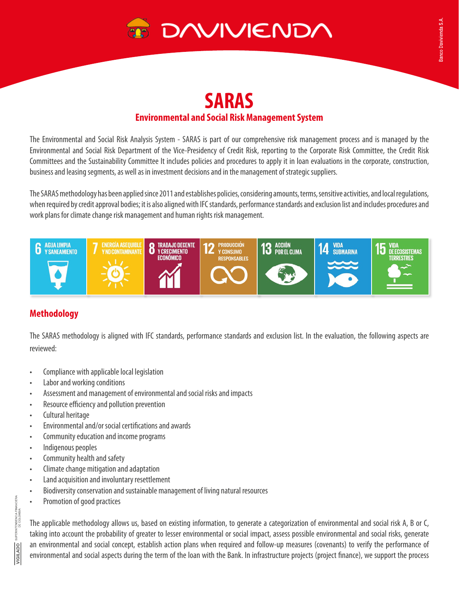

# **SARAS Environmental and Social Risk Management System**

The Environmental and Social Risk Analysis System - SARAS is part of our comprehensive risk management process and is managed by the Environmental and Social Risk Department of the Vice-Presidency of Credit Risk, reporting to the Corporate Risk Committee, the Credit Risk Committees and the Sustainability Committee It includes policies and procedures to apply it in loan evaluations in the corporate, construction, business and leasing segments, as well as in investment decisions and in the management of strategic suppliers.

The SARAS methodology has been applied since 2011 and establishes policies, considering amounts, terms, sensitive activities, and local regulations, when required by credit approval bodies; it is also aligned with IFC standards, performance standards and exclusion list and includes procedures and work plans for climate change risk management and human rights risk management.



# **Methodology**

The SARAS methodology is aligned with IFC standards, performance standards and exclusion list. In the evaluation, the following aspects are reviewed:

- Compliance with applicable local legislation
- Labor and working conditions
- Assessment and management of environmental and social risks and impacts
- Resource efficiency and pollution prevention
- Cultural heritage
- Environmental and/or social certifications and awards
- Community education and income programs
- Indigenous peoples
- Community health and safety
- Climate change mitigation and adaptation
- Land acquisition and involuntary resettlement
- Biodiversity conservation and sustainable management of living natural resources
- Promotion of good practices

The applicable methodology allows us, based on existing information, to generate a categorization of environmental and social risk A, B or C, taking into account the probability of greater to lesser environmental or social impact, assess possible environmental and social risks, generate an environmental and social concept, establish action plans when required and follow-up measures (covenants) to verify the performance of environmental and social aspects during the term of the loan with the Bank. In infrastructure projects (project finance), we support the process

TENDENCIA FINANCIERA<br>DE COLOMBIA VIGILADO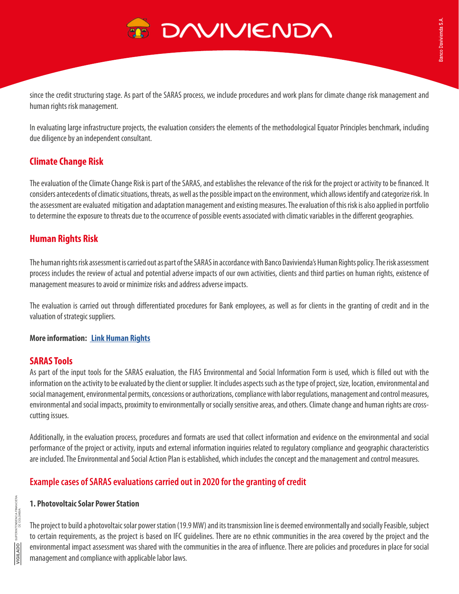since the credit structuring stage. As part of the SARAS process, we include procedures and work plans for climate change risk management and human rights risk management.

In evaluating large infrastructure projects, the evaluation considers the elements of the methodological Equator Principles benchmark, including due diligence by an independent consultant.

# **Climate Change Risk**

The evaluation of the Climate Change Risk is part of the SARAS, and establishes the relevance of the risk for the project or activity to be financed. It considers antecedents of climatic situations, threats, as well as the possible impact on the environment, which allows identify and categorize risk. In the assessment are evaluated mitigation and adaptation management and existing measures. The evaluation of this risk is also applied in portfolio to determine the exposure to threats due to the occurrence of possible events associated with climatic variables in the different geographies.

## **Human Rights Risk**

The human rights risk assessment is carried out as part of the SARAS in accordance with Banco Davivienda's Human Rights policy. The risk assessment process includes the review of actual and potential adverse impacts of our own activities, clients and third parties on human rights, existence of management measures to avoid or minimize risks and address adverse impacts.

The evaluation is carried out through differentiated procedures for Bank employees, as well as for clients in the granting of credit and in the valuation of strategic suppliers.

### **More information: [Link Human Rights](https://sostenibilidad.davivienda.com/en/sustainable-Management/)**

## **SARAS Tools**

As part of the input tools for the SARAS evaluation, the FIAS Environmental and Social Information Form is used, which is filled out with the information on the activity to be evaluated by the client or supplier. It includes aspects such as the type of project, size, location, environmental and social management, environmental permits, concessions or authorizations, compliance with labor regulations, management and control measures, environmental and social impacts, proximity to environmentally or socially sensitive areas, and others. Climate change and human rights are crosscutting issues.

Additionally, in the evaluation process, procedures and formats are used that collect information and evidence on the environmental and social performance of the project or activity, inputs and external information inquiries related to regulatory compliance and geographic characteristics are included. The Environmental and Social Action Plan is established, which includes the concept and the management and control measures.

# **Example cases of SARAS evaluations carried out in 2020 for the granting of credit**

### **1. Photovoltaic Solar Power Station**

The project to build a photovoltaic solar power station (19.9 MW) and its transmission line is deemed environmentally and socially Feasible, subject to certain requirements, as the project is based on IFC guidelines. There are no ethnic communities in the area covered by the project and the environmental impact assessment was shared with the communities in the area of influence. There are policies and procedures in place for social management and compliance with applicable labor laws.